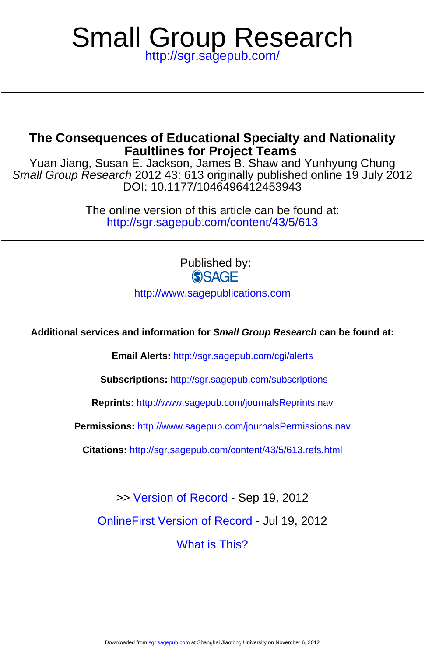# <http://sgr.sagepub.com/> Small Group Research

## **Faultlines for Project Teams The Consequences of Educational Specialty and Nationality**

DOI: 10.1177/1046496412453943 Small Group Research 2012 43: 613 originally published online 19 July 2012 Yuan Jiang, Susan E. Jackson, James B. Shaw and Yunhyung Chung

> <http://sgr.sagepub.com/content/43/5/613> The online version of this article can be found at:

> > Published by: **SSAGE**

<http://www.sagepublications.com>

**Additional services and information for Small Group Research can be found at:**

**Email Alerts:** <http://sgr.sagepub.com/cgi/alerts>

**Subscriptions:** <http://sgr.sagepub.com/subscriptions>

**Reprints:** <http://www.sagepub.com/journalsReprints.nav>

**Permissions:** <http://www.sagepub.com/journalsPermissions.nav>

**Citations:** <http://sgr.sagepub.com/content/43/5/613.refs.html>

>> [Version of Record -](http://sgr.sagepub.com/content/43/5/613.full.pdf) Sep 19, 2012

[OnlineFirst Version of Record -](http://sgr.sagepub.com/content/early/2012/07/17/1046496412453943.full.pdf) Jul 19, 2012

[What is This?](http://online.sagepub.com/site/sphelp/vorhelp.xhtml)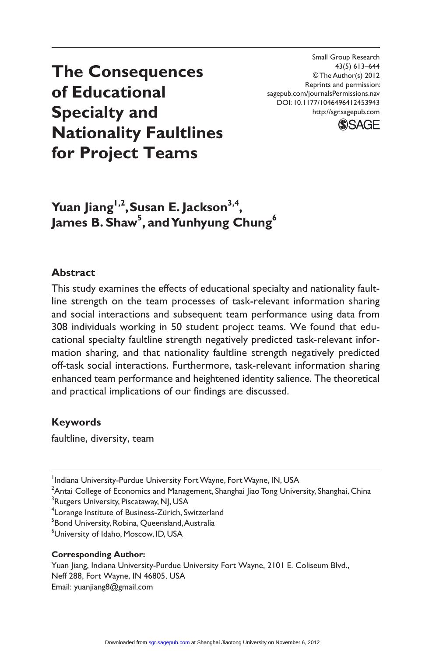**The Consequences of Educational Specialty and Nationality Faultlines for Project Teams**

Small Group Research 43(5) 613–644 © The Author(s) 2012 Reprints and permission: sagepub.com/journalsPermissions.nav DOI: 10.1177/1046496412453943 http://sgr.sagepub.com



## Yuan Jiang<sup>1,2</sup>, Susan E. Jackson<sup>3,4</sup>, **James B. Shaw5 , and Yunhyung Chung6**

#### **Abstract**

This study examines the effects of educational specialty and nationality faultline strength on the team processes of task-relevant information sharing and social interactions and subsequent team performance using data from 308 individuals working in 50 student project teams. We found that educational specialty faultline strength negatively predicted task-relevant information sharing, and that nationality faultline strength negatively predicted off-task social interactions. Furthermore, task-relevant information sharing enhanced team performance and heightened identity salience. The theoretical and practical implications of our findings are discussed.

#### **Keywords**

faultline, diversity, team

1 Indiana University-Purdue University Fort Wayne, Fort Wayne, IN, USA

 $^2$ Antai College of Economics and Management, Shanghai Jiao Tong University, Shanghai, China

<sup>3</sup>Rutgers University, Piscataway, NJ, USA

 $^4$ Lorange Institute of Business-Zürich, Switzerland

5 Bond University, Robina, Queensland, Australia

6 University of Idaho, Moscow, ID, USA

#### **Corresponding Author:**

Yuan Jiang, Indiana University-Purdue University Fort Wayne, 2101 E. Coliseum Blvd., Neff 288, Fort Wayne, IN 46805, USA Email: yuanjiang8@gmail.com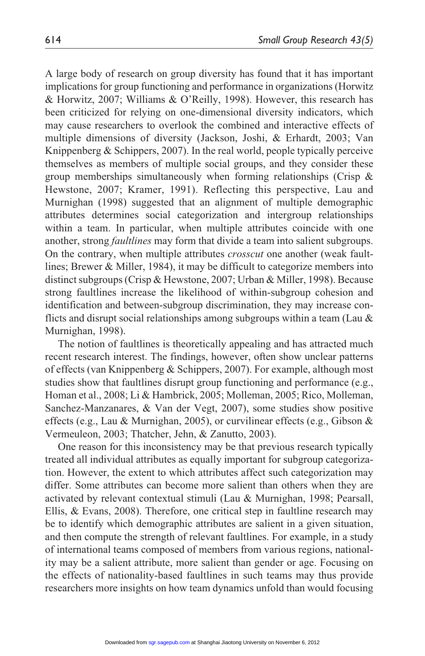A large body of research on group diversity has found that it has important implications for group functioning and performance in organizations (Horwitz & Horwitz, 2007; Williams & O'Reilly, 1998). However, this research has been criticized for relying on one-dimensional diversity indicators, which may cause researchers to overlook the combined and interactive effects of multiple dimensions of diversity (Jackson, Joshi, & Erhardt, 2003; Van Knippenberg & Schippers, 2007). In the real world, people typically perceive themselves as members of multiple social groups, and they consider these group memberships simultaneously when forming relationships (Crisp & Hewstone, 2007; Kramer, 1991). Reflecting this perspective, Lau and Murnighan (1998) suggested that an alignment of multiple demographic attributes determines social categorization and intergroup relationships within a team. In particular, when multiple attributes coincide with one another, strong *faultlines* may form that divide a team into salient subgroups. On the contrary, when multiple attributes *crosscut* one another (weak faultlines; Brewer & Miller, 1984), it may be difficult to categorize members into distinct subgroups (Crisp & Hewstone, 2007; Urban & Miller, 1998). Because strong faultlines increase the likelihood of within-subgroup cohesion and identification and between-subgroup discrimination, they may increase conflicts and disrupt social relationships among subgroups within a team (Lau & Murnighan, 1998).

The notion of faultlines is theoretically appealing and has attracted much recent research interest. The findings, however, often show unclear patterns of effects (van Knippenberg & Schippers, 2007). For example, although most studies show that faultlines disrupt group functioning and performance (e.g., Homan et al., 2008; Li & Hambrick, 2005; Molleman, 2005; Rico, Molleman, Sanchez-Manzanares, & Van der Vegt, 2007), some studies show positive effects (e.g., Lau & Murnighan, 2005), or curvilinear effects (e.g., Gibson & Vermeuleon, 2003; Thatcher, Jehn, & Zanutto, 2003).

One reason for this inconsistency may be that previous research typically treated all individual attributes as equally important for subgroup categorization. However, the extent to which attributes affect such categorization may differ. Some attributes can become more salient than others when they are activated by relevant contextual stimuli (Lau & Murnighan, 1998; Pearsall, Ellis, & Evans, 2008). Therefore, one critical step in faultline research may be to identify which demographic attributes are salient in a given situation, and then compute the strength of relevant faultlines. For example, in a study of international teams composed of members from various regions, nationality may be a salient attribute, more salient than gender or age. Focusing on the effects of nationality-based faultlines in such teams may thus provide researchers more insights on how team dynamics unfold than would focusing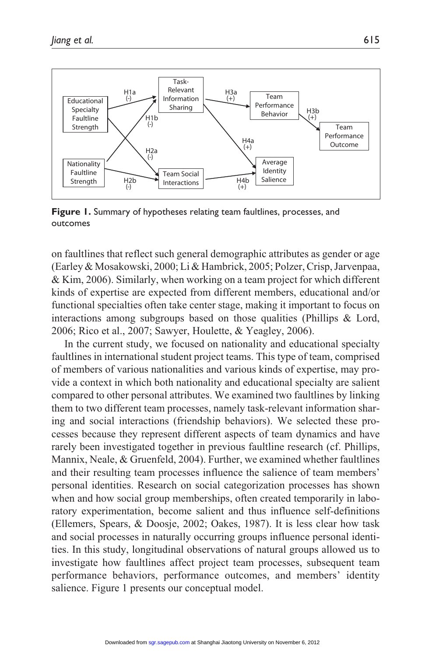

**Figure 1.** Summary of hypotheses relating team faultlines, processes, and outcomes

on faultlines that reflect such general demographic attributes as gender or age (Earley & Mosakowski, 2000; Li & Hambrick, 2005; Polzer, Crisp, Jarvenpaa, & Kim, 2006). Similarly, when working on a team project for which different kinds of expertise are expected from different members, educational and/or functional specialties often take center stage, making it important to focus on interactions among subgroups based on those qualities (Phillips & Lord, 2006; Rico et al., 2007; Sawyer, Houlette, & Yeagley, 2006).

In the current study, we focused on nationality and educational specialty faultlines in international student project teams. This type of team, comprised of members of various nationalities and various kinds of expertise, may provide a context in which both nationality and educational specialty are salient compared to other personal attributes. We examined two faultlines by linking them to two different team processes, namely task-relevant information sharing and social interactions (friendship behaviors). We selected these processes because they represent different aspects of team dynamics and have rarely been investigated together in previous faultline research (cf. Phillips, Mannix, Neale, & Gruenfeld, 2004). Further, we examined whether faultlines and their resulting team processes influence the salience of team members' personal identities. Research on social categorization processes has shown when and how social group memberships, often created temporarily in laboratory experimentation, become salient and thus influence self-definitions (Ellemers, Spears, & Doosje, 2002; Oakes, 1987). It is less clear how task and social processes in naturally occurring groups influence personal identities. In this study, longitudinal observations of natural groups allowed us to investigate how faultlines affect project team processes, subsequent team performance behaviors, performance outcomes, and members' identity salience. Figure 1 presents our conceptual model.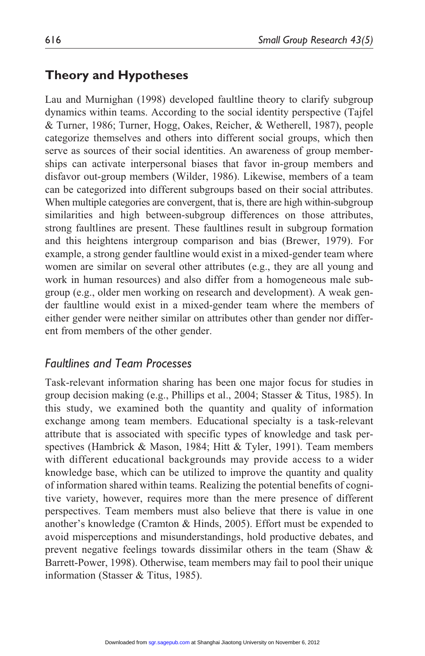## **Theory and Hypotheses**

Lau and Murnighan (1998) developed faultline theory to clarify subgroup dynamics within teams. According to the social identity perspective (Tajfel & Turner, 1986; Turner, Hogg, Oakes, Reicher, & Wetherell, 1987), people categorize themselves and others into different social groups, which then serve as sources of their social identities. An awareness of group memberships can activate interpersonal biases that favor in-group members and disfavor out-group members (Wilder, 1986). Likewise, members of a team can be categorized into different subgroups based on their social attributes. When multiple categories are convergent, that is, there are high within-subgroup similarities and high between-subgroup differences on those attributes, strong faultlines are present. These faultlines result in subgroup formation and this heightens intergroup comparison and bias (Brewer, 1979). For example, a strong gender faultline would exist in a mixed-gender team where women are similar on several other attributes (e.g., they are all young and work in human resources) and also differ from a homogeneous male subgroup (e.g., older men working on research and development). A weak gender faultline would exist in a mixed-gender team where the members of either gender were neither similar on attributes other than gender nor different from members of the other gender.

### *Faultlines and Team Processes*

Task-relevant information sharing has been one major focus for studies in group decision making (e.g., Phillips et al., 2004; Stasser & Titus, 1985). In this study, we examined both the quantity and quality of information exchange among team members. Educational specialty is a task-relevant attribute that is associated with specific types of knowledge and task perspectives (Hambrick & Mason, 1984; Hitt & Tyler, 1991). Team members with different educational backgrounds may provide access to a wider knowledge base, which can be utilized to improve the quantity and quality of information shared within teams. Realizing the potential benefits of cognitive variety, however, requires more than the mere presence of different perspectives. Team members must also believe that there is value in one another's knowledge (Cramton & Hinds, 2005). Effort must be expended to avoid misperceptions and misunderstandings, hold productive debates, and prevent negative feelings towards dissimilar others in the team (Shaw & Barrett-Power, 1998). Otherwise, team members may fail to pool their unique information (Stasser & Titus, 1985).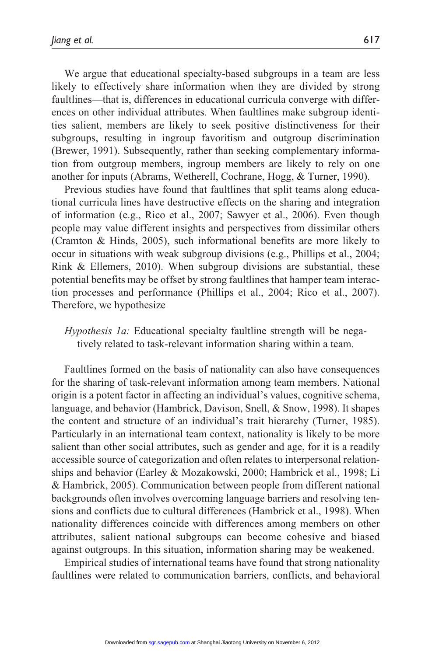We argue that educational specialty-based subgroups in a team are less likely to effectively share information when they are divided by strong faultlines—that is, differences in educational curricula converge with differences on other individual attributes. When faultlines make subgroup identities salient, members are likely to seek positive distinctiveness for their subgroups, resulting in ingroup favoritism and outgroup discrimination (Brewer, 1991). Subsequently, rather than seeking complementary information from outgroup members, ingroup members are likely to rely on one another for inputs (Abrams, Wetherell, Cochrane, Hogg, & Turner, 1990).

Previous studies have found that faultlines that split teams along educational curricula lines have destructive effects on the sharing and integration of information (e.g., Rico et al., 2007; Sawyer et al., 2006). Even though people may value different insights and perspectives from dissimilar others (Cramton & Hinds, 2005), such informational benefits are more likely to occur in situations with weak subgroup divisions (e.g., Phillips et al., 2004; Rink & Ellemers, 2010). When subgroup divisions are substantial, these potential benefits may be offset by strong faultlines that hamper team interaction processes and performance (Phillips et al., 2004; Rico et al., 2007). Therefore, we hypothesize

*Hypothesis 1a:* Educational specialty faultline strength will be negatively related to task-relevant information sharing within a team.

Faultlines formed on the basis of nationality can also have consequences for the sharing of task-relevant information among team members. National origin is a potent factor in affecting an individual's values, cognitive schema, language, and behavior (Hambrick, Davison, Snell, & Snow, 1998). It shapes the content and structure of an individual's trait hierarchy (Turner, 1985). Particularly in an international team context, nationality is likely to be more salient than other social attributes, such as gender and age, for it is a readily accessible source of categorization and often relates to interpersonal relationships and behavior (Earley & Mozakowski, 2000; Hambrick et al., 1998; Li & Hambrick, 2005). Communication between people from different national backgrounds often involves overcoming language barriers and resolving tensions and conflicts due to cultural differences (Hambrick et al., 1998). When nationality differences coincide with differences among members on other attributes, salient national subgroups can become cohesive and biased against outgroups. In this situation, information sharing may be weakened.

Empirical studies of international teams have found that strong nationality faultlines were related to communication barriers, conflicts, and behavioral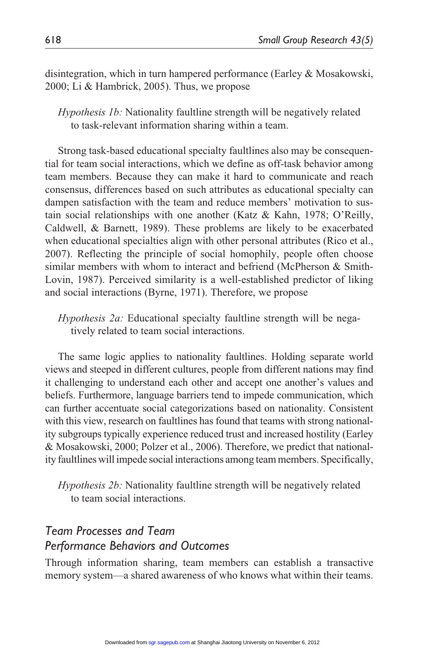disintegration, which in turn hampered performance (Earley & Mosakowski, 2000; Li & Hambrick, 2005). Thus, we propose

*Hypothesis 1b:* Nationality faultline strength will be negatively related to task-relevant information sharing within a team.

Strong task-based educational specialty faultlines also may be consequential for team social interactions, which we define as off-task behavior among team members. Because they can make it hard to communicate and reach consensus, differences based on such attributes as educational specialty can dampen satisfaction with the team and reduce members' motivation to sustain social relationships with one another (Katz & Kahn, 1978; O'Reilly, Caldwell, & Barnett, 1989). These problems are likely to be exacerbated when educational specialties align with other personal attributes (Rico et al., 2007). Reflecting the principle of social homophily, people often choose similar members with whom to interact and befriend (McPherson & Smith-Lovin, 1987). Perceived similarity is a well-established predictor of liking and social interactions (Byrne, 1971). Therefore, we propose

*Hypothesis 2a:* Educational specialty faultline strength will be negatively related to team social interactions.

The same logic applies to nationality faultlines. Holding separate world views and steeped in different cultures, people from different nations may find it challenging to understand each other and accept one another's values and beliefs. Furthermore, language barriers tend to impede communication, which can further accentuate social categorizations based on nationality. Consistent with this view, research on faultlines has found that teams with strong nationality subgroups typically experience reduced trust and increased hostility (Earley & Mosakowski, 2000; Polzer et al., 2006). Therefore, we predict that nationality faultlines will impede social interactions among team members. Specifically,

*Hypothesis 2b:* Nationality faultline strength will be negatively related to team social interactions.

## *Team Processes and Team Performance Behaviors and Outcomes*

Through information sharing, team members can establish a transactive memory system—a shared awareness of who knows what within their teams.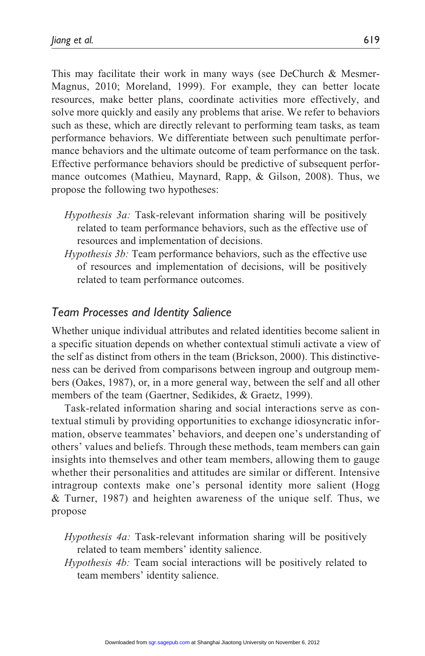This may facilitate their work in many ways (see DeChurch & Mesmer-Magnus, 2010; Moreland, 1999). For example, they can better locate resources, make better plans, coordinate activities more effectively, and solve more quickly and easily any problems that arise. We refer to behaviors such as these, which are directly relevant to performing team tasks, as team performance behaviors. We differentiate between such penultimate performance behaviors and the ultimate outcome of team performance on the task. Effective performance behaviors should be predictive of subsequent performance outcomes (Mathieu, Maynard, Rapp, & Gilson, 2008). Thus, we propose the following two hypotheses:

- *Hypothesis 3a:* Task-relevant information sharing will be positively related to team performance behaviors, such as the effective use of resources and implementation of decisions.
- *Hypothesis 3b:* Team performance behaviors, such as the effective use of resources and implementation of decisions, will be positively related to team performance outcomes.

### *Team Processes and Identity Salience*

Whether unique individual attributes and related identities become salient in a specific situation depends on whether contextual stimuli activate a view of the self as distinct from others in the team (Brickson, 2000). This distinctiveness can be derived from comparisons between ingroup and outgroup members (Oakes, 1987), or, in a more general way, between the self and all other members of the team (Gaertner, Sedikides, & Graetz, 1999).

Task-related information sharing and social interactions serve as contextual stimuli by providing opportunities to exchange idiosyncratic information, observe teammates' behaviors, and deepen one's understanding of others' values and beliefs. Through these methods, team members can gain insights into themselves and other team members, allowing them to gauge whether their personalities and attitudes are similar or different. Intensive intragroup contexts make one's personal identity more salient (Hogg & Turner, 1987) and heighten awareness of the unique self. Thus, we propose

*Hypothesis 4a:* Task-relevant information sharing will be positively related to team members' identity salience.

*Hypothesis 4b:* Team social interactions will be positively related to team members' identity salience.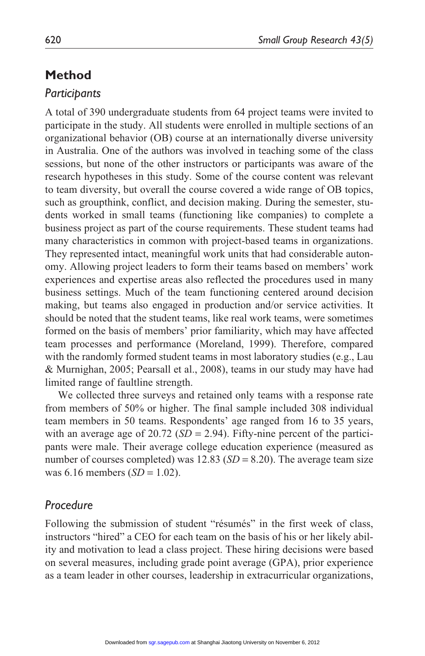## **Method**

### *Participants*

A total of 390 undergraduate students from 64 project teams were invited to participate in the study. All students were enrolled in multiple sections of an organizational behavior (OB) course at an internationally diverse university in Australia. One of the authors was involved in teaching some of the class sessions, but none of the other instructors or participants was aware of the research hypotheses in this study. Some of the course content was relevant to team diversity, but overall the course covered a wide range of OB topics, such as groupthink, conflict, and decision making. During the semester, students worked in small teams (functioning like companies) to complete a business project as part of the course requirements. These student teams had many characteristics in common with project-based teams in organizations. They represented intact, meaningful work units that had considerable autonomy. Allowing project leaders to form their teams based on members' work experiences and expertise areas also reflected the procedures used in many business settings. Much of the team functioning centered around decision making, but teams also engaged in production and/or service activities. It should be noted that the student teams, like real work teams, were sometimes formed on the basis of members' prior familiarity, which may have affected team processes and performance (Moreland, 1999). Therefore, compared with the randomly formed student teams in most laboratory studies (e.g., Lau & Murnighan, 2005; Pearsall et al., 2008), teams in our study may have had limited range of faultline strength.

We collected three surveys and retained only teams with a response rate from members of 50% or higher. The final sample included 308 individual team members in 50 teams. Respondents' age ranged from 16 to 35 years, with an average age of 20.72 ( $SD = 2.94$ ). Fifty-nine percent of the participants were male. Their average college education experience (measured as number of courses completed) was  $12.83$  ( $SD = 8.20$ ). The average team size was 6.16 members (*SD* = 1.02).

## *Procedure*

Following the submission of student "résumés" in the first week of class, instructors "hired" a CEO for each team on the basis of his or her likely ability and motivation to lead a class project. These hiring decisions were based on several measures, including grade point average (GPA), prior experience as a team leader in other courses, leadership in extracurricular organizations,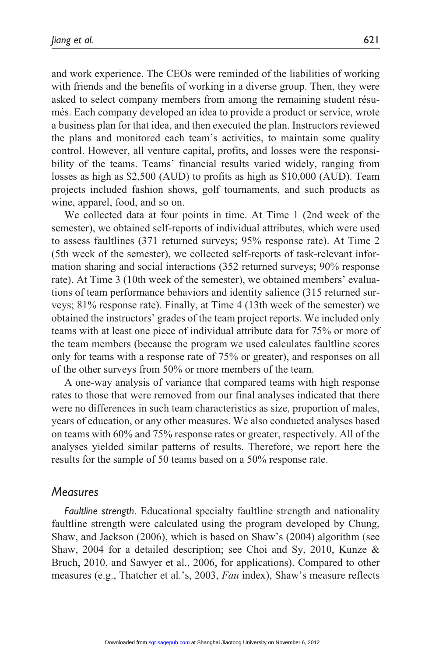and work experience. The CEOs were reminded of the liabilities of working with friends and the benefits of working in a diverse group. Then, they were asked to select company members from among the remaining student résumés. Each company developed an idea to provide a product or service, wrote a business plan for that idea, and then executed the plan. Instructors reviewed the plans and monitored each team's activities, to maintain some quality control. However, all venture capital, profits, and losses were the responsibility of the teams. Teams' financial results varied widely, ranging from losses as high as \$2,500 (AUD) to profits as high as \$10,000 (AUD). Team projects included fashion shows, golf tournaments, and such products as wine, apparel, food, and so on.

We collected data at four points in time. At Time 1 (2nd week of the semester), we obtained self-reports of individual attributes, which were used to assess faultlines (371 returned surveys; 95% response rate). At Time 2 (5th week of the semester), we collected self-reports of task-relevant information sharing and social interactions (352 returned surveys; 90% response rate). At Time 3 (10th week of the semester), we obtained members' evaluations of team performance behaviors and identity salience (315 returned surveys; 81% response rate). Finally, at Time 4 (13th week of the semester) we obtained the instructors' grades of the team project reports. We included only teams with at least one piece of individual attribute data for 75% or more of the team members (because the program we used calculates faultline scores only for teams with a response rate of 75% or greater), and responses on all of the other surveys from 50% or more members of the team.

A one-way analysis of variance that compared teams with high response rates to those that were removed from our final analyses indicated that there were no differences in such team characteristics as size, proportion of males, years of education, or any other measures. We also conducted analyses based on teams with 60% and 75% response rates or greater, respectively. All of the analyses yielded similar patterns of results. Therefore, we report here the results for the sample of 50 teams based on a 50% response rate.

#### *Measures*

*Faultline strength*. Educational specialty faultline strength and nationality faultline strength were calculated using the program developed by Chung, Shaw, and Jackson (2006), which is based on Shaw's (2004) algorithm (see Shaw, 2004 for a detailed description; see Choi and Sy, 2010, Kunze & Bruch, 2010, and Sawyer et al., 2006, for applications). Compared to other measures (e.g., Thatcher et al.'s, 2003, *Fau* index), Shaw's measure reflects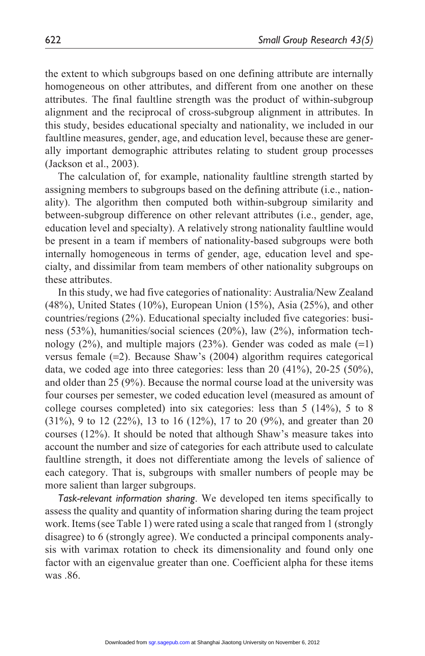the extent to which subgroups based on one defining attribute are internally homogeneous on other attributes, and different from one another on these attributes. The final faultline strength was the product of within-subgroup alignment and the reciprocal of cross-subgroup alignment in attributes. In this study, besides educational specialty and nationality, we included in our faultline measures, gender, age, and education level, because these are generally important demographic attributes relating to student group processes (Jackson et al., 2003).

The calculation of, for example, nationality faultline strength started by assigning members to subgroups based on the defining attribute (i.e., nationality). The algorithm then computed both within-subgroup similarity and between-subgroup difference on other relevant attributes (i.e., gender, age, education level and specialty). A relatively strong nationality faultline would be present in a team if members of nationality-based subgroups were both internally homogeneous in terms of gender, age, education level and specialty, and dissimilar from team members of other nationality subgroups on these attributes.

In this study, we had five categories of nationality: Australia/New Zealand (48%), United States (10%), European Union (15%), Asia (25%), and other countries/regions (2%). Educational specialty included five categories: business (53%), humanities/social sciences (20%), law (2%), information technology  $(2\%)$ , and multiple majors  $(23\%)$ . Gender was coded as male  $(=1)$ versus female (=2). Because Shaw's (2004) algorithm requires categorical data, we coded age into three categories: less than 20 (41%), 20-25 (50%), and older than 25 (9%). Because the normal course load at the university was four courses per semester, we coded education level (measured as amount of college courses completed) into six categories: less than 5 (14%), 5 to 8 (31%), 9 to 12 (22%), 13 to 16 (12%), 17 to 20 (9%), and greater than 20 courses (12%). It should be noted that although Shaw's measure takes into account the number and size of categories for each attribute used to calculate faultline strength, it does not differentiate among the levels of salience of each category. That is, subgroups with smaller numbers of people may be more salient than larger subgroups.

*Task-relevant information sharing*. We developed ten items specifically to assess the quality and quantity of information sharing during the team project work. Items (see Table 1) were rated using a scale that ranged from 1 (strongly disagree) to 6 (strongly agree). We conducted a principal components analysis with varimax rotation to check its dimensionality and found only one factor with an eigenvalue greater than one. Coefficient alpha for these items was .86.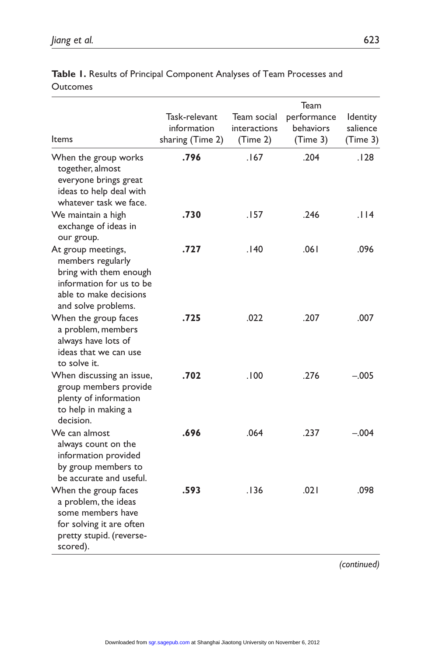|                                                                                                                                                | Team                                             |                                         |                                      |                                  |  |  |  |
|------------------------------------------------------------------------------------------------------------------------------------------------|--------------------------------------------------|-----------------------------------------|--------------------------------------|----------------------------------|--|--|--|
| Items                                                                                                                                          | Task-relevant<br>information<br>sharing (Time 2) | Team social<br>interactions<br>(Time 2) | performance<br>behaviors<br>(Time 3) | Identity<br>salience<br>(Time 3) |  |  |  |
| When the group works<br>together, almost<br>everyone brings great<br>ideas to help deal with<br>whatever task we face.                         | .796                                             | 167.                                    | .204                                 | . I 28                           |  |  |  |
| We maintain a high<br>exchange of ideas in<br>our group.                                                                                       | .730                                             | .157                                    | .246                                 | .114                             |  |  |  |
| At group meetings,<br>members regularly<br>bring with them enough<br>information for us to be<br>able to make decisions<br>and solve problems. | .727                                             | .140                                    | .061                                 | .096                             |  |  |  |
| When the group faces<br>a problem, members<br>always have lots of<br>ideas that we can use<br>to solve it.                                     | .725                                             | .022                                    | .207                                 | .007                             |  |  |  |
| When discussing an issue,<br>group members provide<br>plenty of information<br>to help in making a<br>decision.                                | .702                                             | .100                                    | .276                                 | $-.005$                          |  |  |  |
| We can almost<br>always count on the<br>information provided<br>by group members to<br>be accurate and useful.                                 | .696                                             | .064                                    | .237                                 | $-.004$                          |  |  |  |
| When the group faces<br>a problem, the ideas<br>some members have<br>for solving it are often<br>pretty stupid. (reverse-<br>scored).          | .593                                             | .136                                    | .021                                 | .098                             |  |  |  |

#### **Table 1.** Results of Principal Component Analyses of Team Processes and **Outcomes**

*(continued)*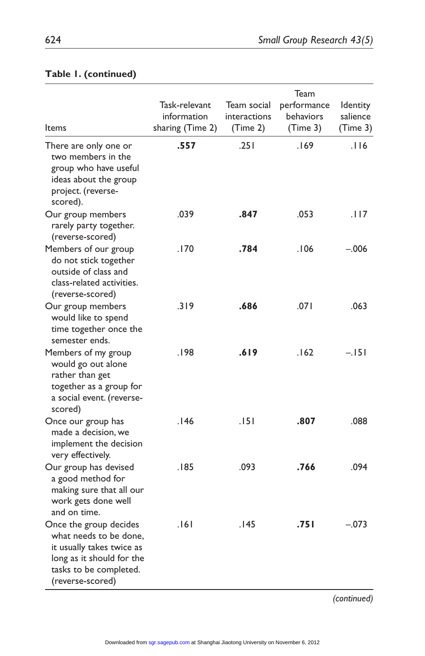| Items                                                                                                                                                    | Task-relevant<br>information<br>sharing (Time 2) | Team social<br>interactions<br>(Time 2) | Team<br>performance<br>behaviors<br>(Time 3) | <b>Identity</b><br>salience<br>(Time 3) |
|----------------------------------------------------------------------------------------------------------------------------------------------------------|--------------------------------------------------|-----------------------------------------|----------------------------------------------|-----------------------------------------|
| There are only one or<br>two members in the<br>group who have useful<br>ideas about the group<br>project. (reverse-<br>scored).                          | .557                                             | .251                                    | .169                                         | .116                                    |
| Our group members<br>rarely party together.<br>(reverse-scored)                                                                                          | .039                                             | .847                                    | .053                                         | .117                                    |
| Members of our group<br>do not stick together<br>outside of class and<br>class-related activities.<br>(reverse-scored)                                   | .170                                             | .784                                    | .106                                         | $-.006$                                 |
| Our group members<br>would like to spend<br>time together once the<br>semester ends.                                                                     | .319                                             | .686                                    | .071                                         | .063                                    |
| Members of my group<br>would go out alone<br>rather than get<br>together as a group for<br>a social event. (reverse-<br>scored)                          | .198                                             | .619                                    | .162                                         | $-.151$                                 |
| Once our group has<br>made a decision, we<br>implement the decision<br>very effectively.                                                                 | .146                                             | .151                                    | .807                                         | .088                                    |
| Our group has devised<br>a good method for<br>making sure that all our<br>work gets done well<br>and on time.                                            | .185                                             | .093                                    | .766                                         | .094                                    |
| Once the group decides<br>what needs to be done,<br>it usually takes twice as<br>long as it should for the<br>tasks to be completed.<br>(reverse-scored) | .161                                             | .145                                    | .751                                         | $-.073$                                 |

#### **Table 1. (continued)**

*(continued)*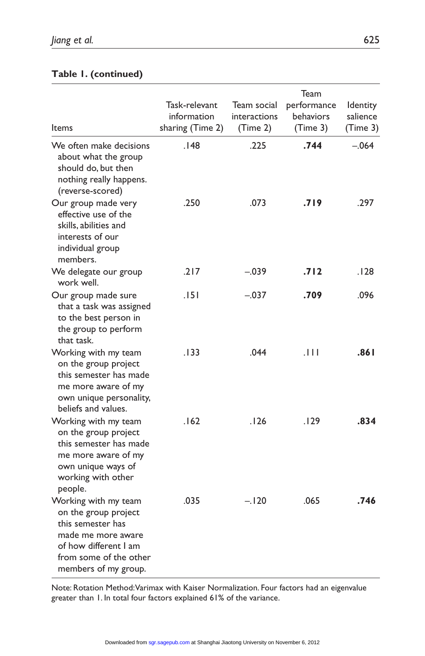#### **Table 1. (continued)**

|                                                                                                                                                                    | Team                                             |                                         |                                      |                                         |  |  |  |
|--------------------------------------------------------------------------------------------------------------------------------------------------------------------|--------------------------------------------------|-----------------------------------------|--------------------------------------|-----------------------------------------|--|--|--|
| Items                                                                                                                                                              | Task-relevant<br>information<br>sharing (Time 2) | Team social<br>interactions<br>(Time 2) | performance<br>behaviors<br>(Time 3) | <b>Identity</b><br>salience<br>(Time 3) |  |  |  |
| We often make decisions<br>about what the group<br>should do, but then<br>nothing really happens.<br>(reverse-scored)                                              | .148                                             | .225                                    | .744                                 | $-.064$                                 |  |  |  |
| Our group made very<br>effective use of the<br>skills, abilities and<br>interests of our<br>individual group<br>members.                                           | .250                                             | .073                                    | .719                                 | .297                                    |  |  |  |
| We delegate our group<br>work well.                                                                                                                                | .217                                             | $-.039$                                 | .712                                 | .128                                    |  |  |  |
| Our group made sure<br>that a task was assigned<br>to the best person in<br>the group to perform<br>that task.                                                     | .151                                             | $-.037$                                 | .709                                 | .096                                    |  |  |  |
| Working with my team<br>on the group project<br>this semester has made<br>me more aware of my<br>own unique personality,<br>beliefs and values.                    | .133                                             | .044                                    | .111                                 | .861                                    |  |  |  |
| Working with my team<br>on the group project<br>this semester has made<br>me more aware of my<br>own unique ways of<br>working with other<br>people.               | .162                                             | .126                                    | .129                                 | .834                                    |  |  |  |
| Working with my team<br>on the group project<br>this semester has<br>made me more aware<br>of how different I am<br>from some of the other<br>members of my group. | .035                                             | $-.120$                                 | .065                                 | .746                                    |  |  |  |

Note: Rotation Method: Varimax with Kaiser Normalization. Four factors had an eigenvalue greater than 1. In total four factors explained 61% of the variance.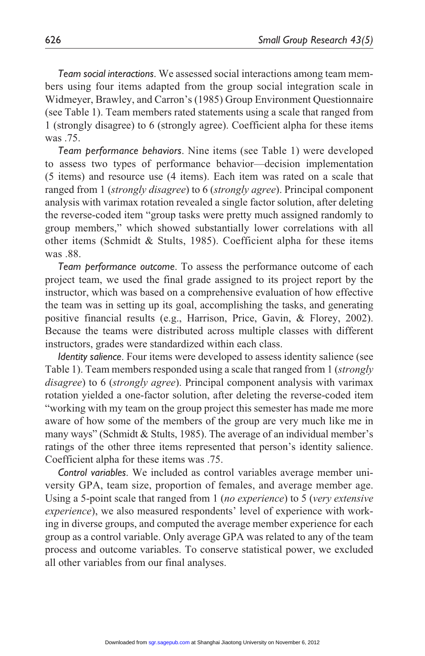*Team social interactions*. We assessed social interactions among team members using four items adapted from the group social integration scale in Widmeyer, Brawley, and Carron's (1985) Group Environment Questionnaire (see Table 1). Team members rated statements using a scale that ranged from 1 (strongly disagree) to 6 (strongly agree). Coefficient alpha for these items was .75.

*Team performance behaviors*. Nine items (see Table 1) were developed to assess two types of performance behavior—decision implementation (5 items) and resource use (4 items). Each item was rated on a scale that ranged from 1 (*strongly disagree*) to 6 (*strongly agree*). Principal component analysis with varimax rotation revealed a single factor solution, after deleting the reverse-coded item "group tasks were pretty much assigned randomly to group members," which showed substantially lower correlations with all other items (Schmidt & Stults, 1985). Coefficient alpha for these items was .88.

*Team performance outcome*. To assess the performance outcome of each project team, we used the final grade assigned to its project report by the instructor, which was based on a comprehensive evaluation of how effective the team was in setting up its goal, accomplishing the tasks, and generating positive financial results (e.g., Harrison, Price, Gavin, & Florey, 2002). Because the teams were distributed across multiple classes with different instructors, grades were standardized within each class.

*Identity salience*. Four items were developed to assess identity salience (see Table 1). Team members responded using a scale that ranged from 1 (*strongly disagree*) to 6 (*strongly agree*). Principal component analysis with varimax rotation yielded a one-factor solution, after deleting the reverse-coded item "working with my team on the group project this semester has made me more aware of how some of the members of the group are very much like me in many ways" (Schmidt & Stults, 1985). The average of an individual member's ratings of the other three items represented that person's identity salience. Coefficient alpha for these items was .75.

*Control variables*. We included as control variables average member university GPA, team size, proportion of females, and average member age. Using a 5-point scale that ranged from 1 (*no experience*) to 5 (*very extensive experience*), we also measured respondents' level of experience with working in diverse groups, and computed the average member experience for each group as a control variable. Only average GPA was related to any of the team process and outcome variables. To conserve statistical power, we excluded all other variables from our final analyses.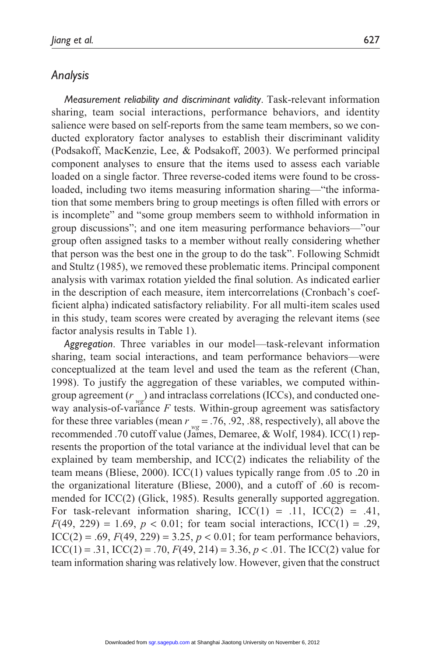### *Analysis*

*Measurement reliability and discriminant validity*. Task-relevant information sharing, team social interactions, performance behaviors, and identity salience were based on self-reports from the same team members, so we conducted exploratory factor analyses to establish their discriminant validity (Podsakoff, MacKenzie, Lee, & Podsakoff, 2003). We performed principal component analyses to ensure that the items used to assess each variable loaded on a single factor. Three reverse-coded items were found to be crossloaded, including two items measuring information sharing—"the information that some members bring to group meetings is often filled with errors or is incomplete" and "some group members seem to withhold information in group discussions"; and one item measuring performance behaviors—"our group often assigned tasks to a member without really considering whether that person was the best one in the group to do the task". Following Schmidt and Stultz (1985), we removed these problematic items. Principal component analysis with varimax rotation yielded the final solution. As indicated earlier in the description of each measure, item intercorrelations (Cronbach's coefficient alpha) indicated satisfactory reliability. For all multi-item scales used in this study, team scores were created by averaging the relevant items (see factor analysis results in Table 1).

*Aggregation*. Three variables in our model—task-relevant information sharing, team social interactions, and team performance behaviors—were conceptualized at the team level and used the team as the referent (Chan, 1998). To justify the aggregation of these variables, we computed withingroup agreement  $(r_{w0})$  and intraclass correlations (ICCs), and conducted oneway analysis-of-variance  $F$  tests. Within-group agreement was satisfactory for these three variables (mean  $r_{wg} = .76, .92, .88$ , respectively), all above the recommended .70 cutoff value (James, Demaree, & Wolf, 1984). ICC(1) represents the proportion of the total variance at the individual level that can be explained by team membership, and ICC(2) indicates the reliability of the team means (Bliese, 2000). ICC(1) values typically range from .05 to .20 in the organizational literature (Bliese, 2000), and a cutoff of .60 is recommended for ICC(2) (Glick, 1985). Results generally supported aggregation. For task-relevant information sharing,  $\text{ICC}(1) = .11$ ,  $\text{ICC}(2) = .41$ ,  $F(49, 229) = 1.69, p < 0.01$ ; for team social interactions, ICC(1) = .29, ICC(2) = .69,  $F(49, 229) = 3.25$ ,  $p < 0.01$ ; for team performance behaviors, ICC(1) = .31, ICC(2) = .70,  $F(49, 214) = 3.36$ ,  $p < .01$ . The ICC(2) value for team information sharing was relatively low. However, given that the construct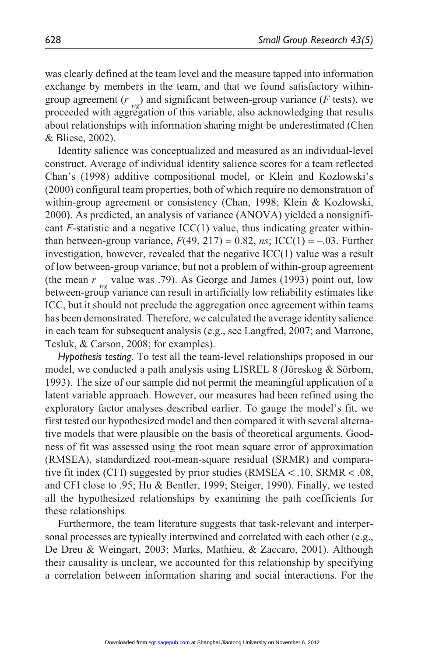was clearly defined at the team level and the measure tapped into information exchange by members in the team, and that we found satisfactory withingroup agreement  $(r_{wg})$  and significant between-group variance ( $F$  tests), we proceeded with aggregation of this variable, also acknowledging that results about relationships with information sharing might be underestimated (Chen & Bliese, 2002).

Identity salience was conceptualized and measured as an individual-level construct. Average of individual identity salience scores for a team reflected Chan's (1998) additive compositional model, or Klein and Kozlowski's (2000) configural team properties, both of which require no demonstration of within-group agreement or consistency (Chan, 1998; Klein & Kozlowski, 2000). As predicted, an analysis of variance (ANOVA) yielded a nonsignificant  $F$ -statistic and a negative  $\text{ICC}(1)$  value, thus indicating greater withinthan between-group variance,  $F(49, 217) = 0.82$ ,  $ns$ ; ICC(1) = -0.03. Further investigation, however, revealed that the negative ICC(1) value was a result of low between-group variance, but not a problem of within-group agreement (the mean  $r_{\text{wo}}$  value was .79). As George and James (1993) point out, low between-group variance can result in artificially low reliability estimates like ICC, but it should not preclude the aggregation once agreement within teams has been demonstrated. Therefore, we calculated the average identity salience in each team for subsequent analysis (e.g., see Langfred, 2007; and Marrone, Tesluk, & Carson, 2008; for examples).

*Hypothesis testing*. To test all the team-level relationships proposed in our model, we conducted a path analysis using LISREL 8 (Jöreskog & Sörbom, 1993). The size of our sample did not permit the meaningful application of a latent variable approach. However, our measures had been refined using the exploratory factor analyses described earlier. To gauge the model's fit, we first tested our hypothesized model and then compared it with several alternative models that were plausible on the basis of theoretical arguments. Goodness of fit was assessed using the root mean square error of approximation (RMSEA), standardized root-mean-square residual (SRMR) and comparative fit index (CFI) suggested by prior studies (RMSEA < .10, SRMR < .08, and CFI close to .95; Hu & Bentler, 1999; Steiger, 1990). Finally, we tested all the hypothesized relationships by examining the path coefficients for these relationships.

Furthermore, the team literature suggests that task-relevant and interpersonal processes are typically intertwined and correlated with each other (e.g., De Dreu & Weingart, 2003; Marks, Mathieu, & Zaccaro, 2001). Although their causality is unclear, we accounted for this relationship by specifying a correlation between information sharing and social interactions. For the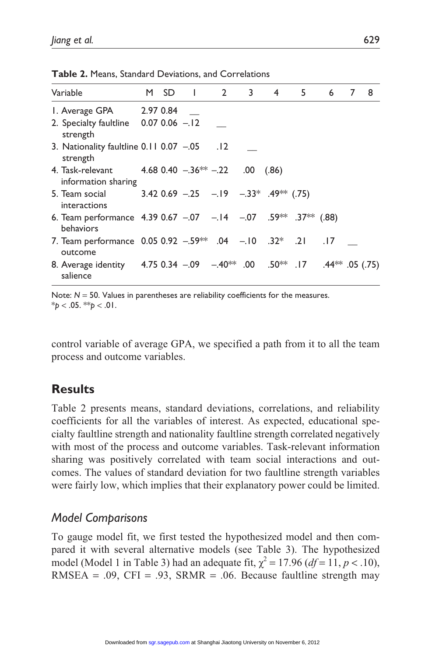| Variable                                                                                                                |  | MSD 1 2 3                              |     |  | 4 5 | 6   | 7 | 8 |
|-------------------------------------------------------------------------------------------------------------------------|--|----------------------------------------|-----|--|-----|-----|---|---|
| I. Average GPA 2.97 0.84                                                                                                |  |                                        |     |  |     |     |   |   |
| 2. Specialty faultline $0.07$ 0.06 $-.12$<br>strength                                                                   |  |                                        |     |  |     |     |   |   |
| 3. Nationality faultline 0.11 0.07 -.05<br>strength                                                                     |  |                                        | .12 |  |     |     |   |   |
| 4. Task-relevant<br>information sharing                                                                                 |  | 4.68 0.40 $-.36^{**}$ $-.22$ .00 (.86) |     |  |     |     |   |   |
| $3.42\,0.69\,-.25\,-.19\,-.33^*$ $.49^{**}$ (.75)<br>5. Team social<br>interactions                                     |  |                                        |     |  |     |     |   |   |
| 6. Team performance 4.39 0.67 -.07 -.14 -.07 .59 <sup>**</sup> .37 <sup>**</sup> (.88)<br>behaviors                     |  |                                        |     |  |     |     |   |   |
| 7. Team performance $0.05 0.92 - 59**$ .04 $-.10$ .32* .21<br>outcome                                                   |  |                                        |     |  |     | .17 |   |   |
| 8. Average identity 4.75 0.34 - 09 - 40 <sup>**</sup> 0.0 .50 <sup>**</sup> .17 .44 <sup>**</sup> .05 (.75)<br>salience |  |                                        |     |  |     |     |   |   |

**Table 2.** Means, Standard Deviations, and Correlations

Note:  $N = 50$ . Values in parentheses are reliability coefficients for the measures.  $*_{p}$  < .05.  $*_{p}$  < .01.

control variable of average GPA, we specified a path from it to all the team process and outcome variables.

## **Results**

Table 2 presents means, standard deviations, correlations, and reliability coefficients for all the variables of interest. As expected, educational specialty faultline strength and nationality faultline strength correlated negatively with most of the process and outcome variables. Task-relevant information sharing was positively correlated with team social interactions and outcomes. The values of standard deviation for two faultline strength variables were fairly low, which implies that their explanatory power could be limited.

## *Model Comparisons*

To gauge model fit, we first tested the hypothesized model and then compared it with several alternative models (see Table 3). The hypothesized model (Model 1 in Table 3) had an adequate fit,  $\chi^2 = 17.96$  ( $df = 11$ ,  $p < .10$ ), RMSEA = .09, CFI = .93, SRMR = .06. Because faultline strength may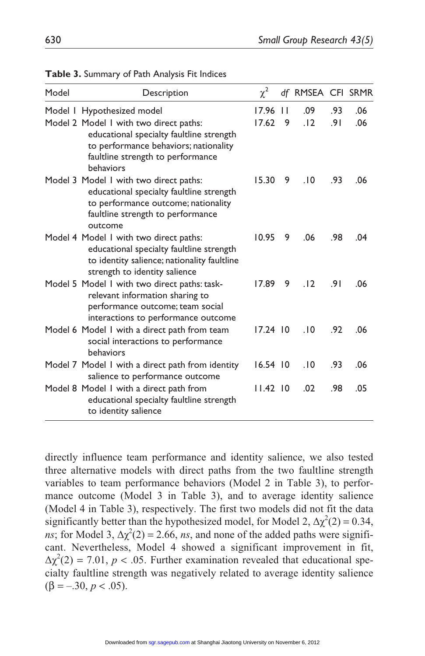| Model | Description                                                                                                                                                                   | $\chi^2$   |         | df RMSEA CFI SRMR |     |     |
|-------|-------------------------------------------------------------------------------------------------------------------------------------------------------------------------------|------------|---------|-------------------|-----|-----|
|       | Model   Hypothesized model                                                                                                                                                    | 17.96      | $\perp$ | .09               | .93 | .06 |
|       | Model 2 Model I with two direct paths:<br>educational specialty faultline strength<br>to performance behaviors; nationality<br>faultline strength to performance<br>behaviors | 17.62      | 9       | .12               | .91 | .06 |
|       | Model 3 Model 1 with two direct paths:<br>educational specialty faultline strength<br>to performance outcome; nationality<br>faultline strength to performance<br>outcome     | 15.30      | 9       | .10               | .93 | .06 |
|       | Model 4 Model I with two direct paths:<br>educational specialty faultline strength<br>to identity salience; nationality faultline<br>strength to identity salience            | 10.95      | 9       | .06               | .98 | .04 |
|       | Model 5 Model I with two direct paths: task-<br>relevant information sharing to<br>performance outcome; team social<br>interactions to performance outcome                    | 17.89      | 9       | $\overline{12}$   | .91 | .06 |
|       | Model 6 Model I with a direct path from team<br>social interactions to performance<br>hehaviors                                                                               | $17.24$ 10 |         | .10               | .92 | .06 |
|       | Model 7 Model 1 with a direct path from identity<br>salience to performance outcome                                                                                           | $16.54$ 10 |         | .10               | .93 | .06 |
|       | Model 8 Model 1 with a direct path from<br>educational specialty faultline strength<br>to identity salience                                                                   | $11.42$ 10 |         | .02               | .98 | .05 |

| Table 3. Summary of Path Analysis Fit Indices |  |  |
|-----------------------------------------------|--|--|
|-----------------------------------------------|--|--|

directly influence team performance and identity salience, we also tested three alternative models with direct paths from the two faultline strength variables to team performance behaviors (Model 2 in Table 3), to performance outcome (Model 3 in Table 3), and to average identity salience (Model 4 in Table 3), respectively. The first two models did not fit the data significantly better than the hypothesized model, for Model 2,  $\Delta \chi^2(2) = 0.34$ , *ns*; for Model 3,  $\Delta \chi^2(2) = 2.66$ , *ns*, and none of the added paths were significant. Nevertheless, Model 4 showed a significant improvement in fit,  $\Delta \chi^2(2) = 7.01, p < .05$ . Further examination revealed that educational specialty faultline strength was negatively related to average identity salience  $(\beta = -.30, p < .05).$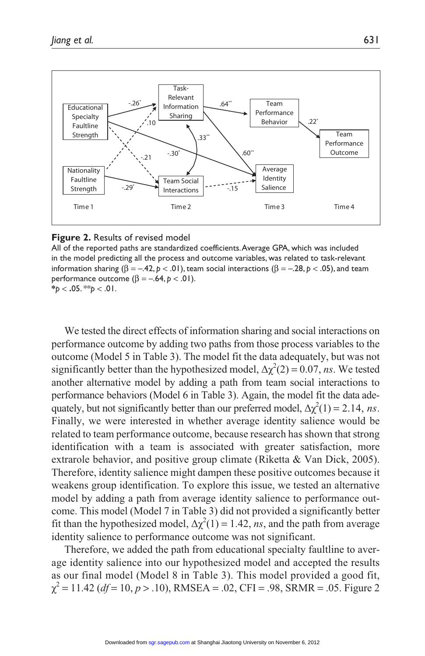

#### **Figure 2.** Results of revised model

All of the reported paths are standardized coefficients. Average GPA, which was included in the model predicting all the process and outcome variables, was related to task-relevant information sharing ( $\beta = -42$ ,  $p < .01$ ), team social interactions ( $\beta = -28$ ,  $p < .05$ ), and team performance outcome ( $\beta = -.64, p < .01$ ). **\****p* < **.**05. \*\**p* < .01.

We tested the direct effects of information sharing and social interactions on performance outcome by adding two paths from those process variables to the outcome (Model 5 in Table 3). The model fit the data adequately, but was not significantly better than the hypothesized model,  $\Delta \chi^2(2) = 0.07$ , *ns*. We tested another alternative model by adding a path from team social interactions to performance behaviors (Model 6 in Table 3). Again, the model fit the data adequately, but not significantly better than our preferred model,  $\Delta \chi^2(1) = 2.14$ , *ns*. Finally, we were interested in whether average identity salience would be related to team performance outcome, because research has shown that strong identification with a team is associated with greater satisfaction, more extrarole behavior, and positive group climate (Riketta & Van Dick, 2005). Therefore, identity salience might dampen these positive outcomes because it weakens group identification. To explore this issue, we tested an alternative model by adding a path from average identity salience to performance outcome. This model (Model 7 in Table 3) did not provided a significantly better fit than the hypothesized model,  $\Delta \chi^2(1) = 1.42$ , *ns*, and the path from average identity salience to performance outcome was not significant.

Therefore, we added the path from educational specialty faultline to average identity salience into our hypothesized model and accepted the results as our final model (Model 8 in Table 3). This model provided a good fit,  $\chi^2$  = 11.42 (*df* = 10, *p* > .10), RMSEA = .02, CFI = .98, SRMR = .05. Figure 2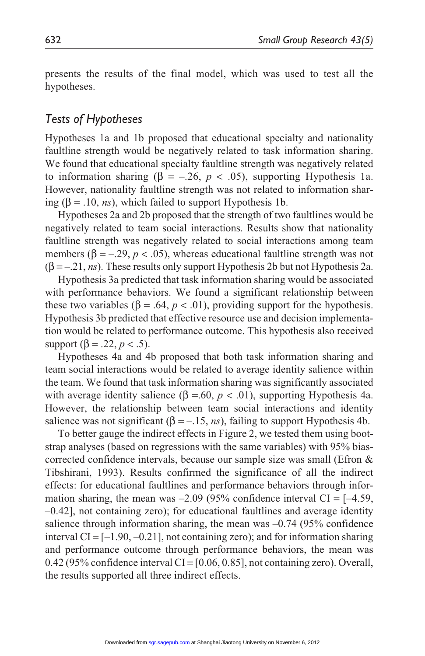presents the results of the final model, which was used to test all the hypotheses.

### *Tests of Hypotheses*

Hypotheses 1a and 1b proposed that educational specialty and nationality faultline strength would be negatively related to task information sharing. We found that educational specialty faultline strength was negatively related to information sharing ( $\beta = -.26$ ,  $p < .05$ ), supporting Hypothesis 1a. However, nationality faultline strength was not related to information sharing  $(\beta = .10, ns)$ , which failed to support Hypothesis 1b.

Hypotheses 2a and 2b proposed that the strength of two faultlines would be negatively related to team social interactions. Results show that nationality faultline strength was negatively related to social interactions among team members ( $\beta = -0.29$ ,  $p < 0.05$ ), whereas educational faultline strength was not (β = –.21, *ns*). These results only support Hypothesis 2b but not Hypothesis 2a.

Hypothesis 3a predicted that task information sharing would be associated with performance behaviors. We found a significant relationship between these two variables ( $\beta = .64$ ,  $p < .01$ ), providing support for the hypothesis. Hypothesis 3b predicted that effective resource use and decision implementation would be related to performance outcome. This hypothesis also received support ( $\beta$  = .22, *p* < .5).

Hypotheses 4a and 4b proposed that both task information sharing and team social interactions would be related to average identity salience within the team. We found that task information sharing was significantly associated with average identity salience ( $\beta = .60$ ,  $p < .01$ ), supporting Hypothesis 4a. However, the relationship between team social interactions and identity salience was not significant ( $\beta = -15$ , *ns*), failing to support Hypothesis 4b.

To better gauge the indirect effects in Figure 2, we tested them using bootstrap analyses (based on regressions with the same variables) with 95% biascorrected confidence intervals, because our sample size was small (Efron & Tibshirani, 1993). Results confirmed the significance of all the indirect effects: for educational faultlines and performance behaviors through information sharing, the mean was  $-2.09$  (95% confidence interval CI =  $[-4.59,$ –0.42], not containing zero); for educational faultlines and average identity salience through information sharing, the mean was  $-0.74$  (95% confidence interval  $CI = [-1.90, -0.21]$ , not containing zero); and for information sharing and performance outcome through performance behaviors, the mean was  $0.42$  (95% confidence interval CI = [0.06, 0.85], not containing zero). Overall, the results supported all three indirect effects.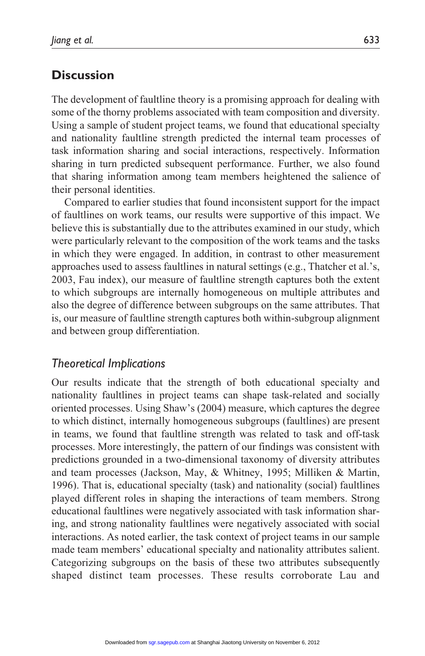### **Discussion**

The development of faultline theory is a promising approach for dealing with some of the thorny problems associated with team composition and diversity. Using a sample of student project teams, we found that educational specialty and nationality faultline strength predicted the internal team processes of task information sharing and social interactions, respectively. Information sharing in turn predicted subsequent performance. Further, we also found that sharing information among team members heightened the salience of their personal identities.

Compared to earlier studies that found inconsistent support for the impact of faultlines on work teams, our results were supportive of this impact. We believe this is substantially due to the attributes examined in our study, which were particularly relevant to the composition of the work teams and the tasks in which they were engaged. In addition, in contrast to other measurement approaches used to assess faultlines in natural settings (e.g., Thatcher et al.'s, 2003, Fau index), our measure of faultline strength captures both the extent to which subgroups are internally homogeneous on multiple attributes and also the degree of difference between subgroups on the same attributes. That is, our measure of faultline strength captures both within-subgroup alignment and between group differentiation.

### *Theoretical Implications*

Our results indicate that the strength of both educational specialty and nationality faultlines in project teams can shape task-related and socially oriented processes. Using Shaw's (2004) measure, which captures the degree to which distinct, internally homogeneous subgroups (faultlines) are present in teams, we found that faultline strength was related to task and off-task processes. More interestingly, the pattern of our findings was consistent with predictions grounded in a two-dimensional taxonomy of diversity attributes and team processes (Jackson, May, & Whitney, 1995; Milliken & Martin, 1996). That is, educational specialty (task) and nationality (social) faultlines played different roles in shaping the interactions of team members. Strong educational faultlines were negatively associated with task information sharing, and strong nationality faultlines were negatively associated with social interactions. As noted earlier, the task context of project teams in our sample made team members' educational specialty and nationality attributes salient. Categorizing subgroups on the basis of these two attributes subsequently shaped distinct team processes. These results corroborate Lau and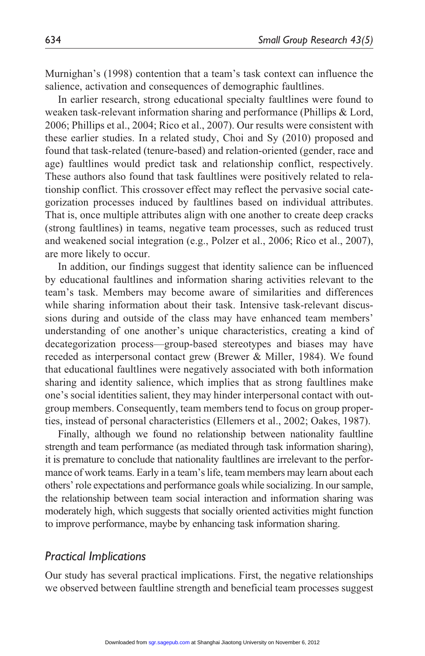Murnighan's (1998) contention that a team's task context can influence the salience, activation and consequences of demographic faultlines.

In earlier research, strong educational specialty faultlines were found to weaken task-relevant information sharing and performance (Phillips & Lord, 2006; Phillips et al., 2004; Rico et al., 2007). Our results were consistent with these earlier studies. In a related study, Choi and Sy (2010) proposed and found that task-related (tenure-based) and relation-oriented (gender, race and age) faultlines would predict task and relationship conflict, respectively. These authors also found that task faultlines were positively related to relationship conflict. This crossover effect may reflect the pervasive social categorization processes induced by faultlines based on individual attributes. That is, once multiple attributes align with one another to create deep cracks (strong faultlines) in teams, negative team processes, such as reduced trust and weakened social integration (e.g., Polzer et al., 2006; Rico et al., 2007), are more likely to occur.

In addition, our findings suggest that identity salience can be influenced by educational faultlines and information sharing activities relevant to the team's task. Members may become aware of similarities and differences while sharing information about their task. Intensive task-relevant discussions during and outside of the class may have enhanced team members' understanding of one another's unique characteristics, creating a kind of decategorization process—group-based stereotypes and biases may have receded as interpersonal contact grew (Brewer & Miller, 1984). We found that educational faultlines were negatively associated with both information sharing and identity salience, which implies that as strong faultlines make one's social identities salient, they may hinder interpersonal contact with outgroup members. Consequently, team members tend to focus on group properties, instead of personal characteristics (Ellemers et al., 2002; Oakes, 1987).

Finally, although we found no relationship between nationality faultline strength and team performance (as mediated through task information sharing), it is premature to conclude that nationality faultlines are irrelevant to the performance of work teams. Early in a team's life, team members may learn about each others' role expectations and performance goals while socializing. In our sample, the relationship between team social interaction and information sharing was moderately high, which suggests that socially oriented activities might function to improve performance, maybe by enhancing task information sharing.

#### *Practical Implications*

Our study has several practical implications. First, the negative relationships we observed between faultline strength and beneficial team processes suggest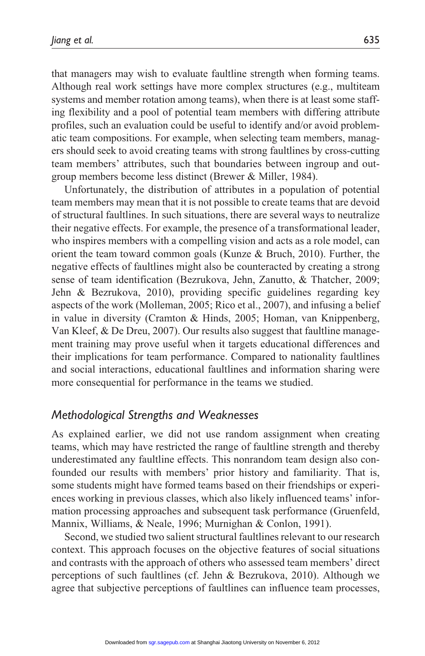that managers may wish to evaluate faultline strength when forming teams. Although real work settings have more complex structures (e.g., multiteam systems and member rotation among teams), when there is at least some staffing flexibility and a pool of potential team members with differing attribute profiles, such an evaluation could be useful to identify and/or avoid problematic team compositions. For example, when selecting team members, managers should seek to avoid creating teams with strong faultlines by cross-cutting team members' attributes, such that boundaries between ingroup and outgroup members become less distinct (Brewer & Miller, 1984).

Unfortunately, the distribution of attributes in a population of potential team members may mean that it is not possible to create teams that are devoid of structural faultlines. In such situations, there are several ways to neutralize their negative effects. For example, the presence of a transformational leader, who inspires members with a compelling vision and acts as a role model, can orient the team toward common goals (Kunze & Bruch, 2010). Further, the negative effects of faultlines might also be counteracted by creating a strong sense of team identification (Bezrukova, Jehn, Zanutto, & Thatcher, 2009; Jehn & Bezrukova, 2010), providing specific guidelines regarding key aspects of the work (Molleman, 2005; Rico et al., 2007), and infusing a belief in value in diversity (Cramton & Hinds, 2005; Homan, van Knippenberg, Van Kleef, & De Dreu, 2007). Our results also suggest that faultline management training may prove useful when it targets educational differences and their implications for team performance. Compared to nationality faultlines and social interactions, educational faultlines and information sharing were more consequential for performance in the teams we studied.

#### *Methodological Strengths and Weaknesses*

As explained earlier, we did not use random assignment when creating teams, which may have restricted the range of faultline strength and thereby underestimated any faultline effects. This nonrandom team design also confounded our results with members' prior history and familiarity. That is, some students might have formed teams based on their friendships or experiences working in previous classes, which also likely influenced teams' information processing approaches and subsequent task performance (Gruenfeld, Mannix, Williams, & Neale, 1996; Murnighan & Conlon, 1991).

Second, we studied two salient structural faultlines relevant to our research context. This approach focuses on the objective features of social situations and contrasts with the approach of others who assessed team members' direct perceptions of such faultlines (cf. Jehn & Bezrukova, 2010). Although we agree that subjective perceptions of faultlines can influence team processes,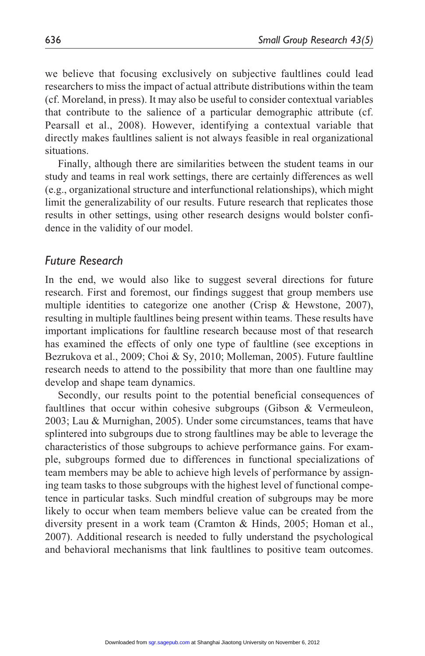we believe that focusing exclusively on subjective faultlines could lead researchers to miss the impact of actual attribute distributions within the team (cf. Moreland, in press). It may also be useful to consider contextual variables that contribute to the salience of a particular demographic attribute (cf. Pearsall et al., 2008). However, identifying a contextual variable that directly makes faultlines salient is not always feasible in real organizational situations.

Finally, although there are similarities between the student teams in our study and teams in real work settings, there are certainly differences as well (e.g., organizational structure and interfunctional relationships), which might limit the generalizability of our results. Future research that replicates those results in other settings, using other research designs would bolster confidence in the validity of our model.

#### *Future Research*

In the end, we would also like to suggest several directions for future research. First and foremost, our findings suggest that group members use multiple identities to categorize one another (Crisp  $\&$  Hewstone, 2007), resulting in multiple faultlines being present within teams. These results have important implications for faultline research because most of that research has examined the effects of only one type of faultline (see exceptions in Bezrukova et al., 2009; Choi & Sy, 2010; Molleman, 2005). Future faultline research needs to attend to the possibility that more than one faultline may develop and shape team dynamics.

Secondly, our results point to the potential beneficial consequences of faultlines that occur within cohesive subgroups (Gibson & Vermeuleon, 2003; Lau & Murnighan, 2005). Under some circumstances, teams that have splintered into subgroups due to strong faultlines may be able to leverage the characteristics of those subgroups to achieve performance gains. For example, subgroups formed due to differences in functional specializations of team members may be able to achieve high levels of performance by assigning team tasks to those subgroups with the highest level of functional competence in particular tasks. Such mindful creation of subgroups may be more likely to occur when team members believe value can be created from the diversity present in a work team (Cramton & Hinds, 2005; Homan et al., 2007). Additional research is needed to fully understand the psychological and behavioral mechanisms that link faultlines to positive team outcomes.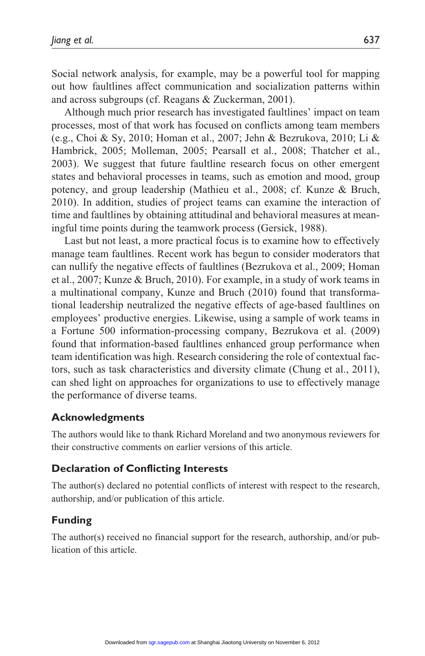Social network analysis, for example, may be a powerful tool for mapping out how faultlines affect communication and socialization patterns within and across subgroups (cf. Reagans & Zuckerman, 2001).

Although much prior research has investigated faultlines' impact on team processes, most of that work has focused on conflicts among team members (e.g., Choi & Sy, 2010; Homan et al., 2007; Jehn & Bezrukova, 2010; Li & Hambrick, 2005; Molleman, 2005; Pearsall et al., 2008; Thatcher et al., 2003). We suggest that future faultline research focus on other emergent states and behavioral processes in teams, such as emotion and mood, group potency, and group leadership (Mathieu et al., 2008; cf. Kunze & Bruch, 2010). In addition, studies of project teams can examine the interaction of time and faultlines by obtaining attitudinal and behavioral measures at meaningful time points during the teamwork process (Gersick, 1988).

Last but not least, a more practical focus is to examine how to effectively manage team faultlines. Recent work has begun to consider moderators that can nullify the negative effects of faultlines (Bezrukova et al., 2009; Homan et al., 2007; Kunze & Bruch, 2010). For example, in a study of work teams in a multinational company, Kunze and Bruch (2010) found that transformational leadership neutralized the negative effects of age-based faultlines on employees' productive energies. Likewise, using a sample of work teams in a Fortune 500 information-processing company, Bezrukova et al. (2009) found that information-based faultlines enhanced group performance when team identification was high. Research considering the role of contextual factors, such as task characteristics and diversity climate (Chung et al., 2011), can shed light on approaches for organizations to use to effectively manage the performance of diverse teams.

#### **Acknowledgments**

The authors would like to thank Richard Moreland and two anonymous reviewers for their constructive comments on earlier versions of this article.

### **Declaration of Conflicting Interests**

The author(s) declared no potential conflicts of interest with respect to the research, authorship, and/or publication of this article.

### **Funding**

The author(s) received no financial support for the research, authorship, and/or publication of this article.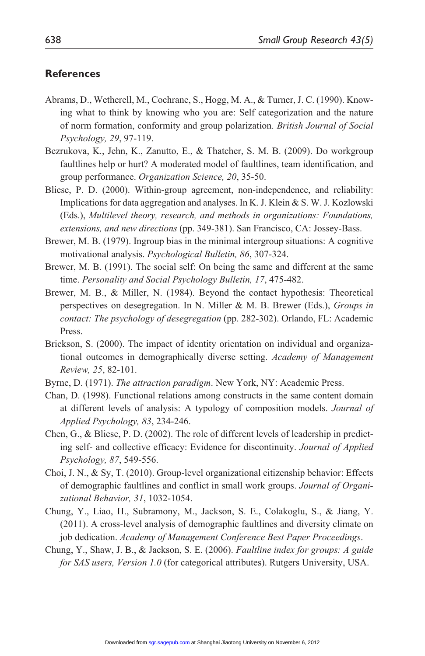#### **References**

- Abrams, D., Wetherell, M., Cochrane, S., Hogg, M. A., & Turner, J. C. (1990). Knowing what to think by knowing who you are: Self categorization and the nature of norm formation, conformity and group polarization. *British Journal of Social Psychology, 29*, 97-119.
- Bezrukova, K., Jehn, K., Zanutto, E., & Thatcher, S. M. B. (2009). Do workgroup faultlines help or hurt? A moderated model of faultlines, team identification, and group performance. *Organization Science, 20*, 35-50.
- Bliese, P. D. (2000). Within-group agreement, non-independence, and reliability: Implications for data aggregation and analyses. In K. J. Klein & S. W. J. Kozlowski (Eds.), *Multilevel theory, research, and methods in organizations: Foundations, extensions, and new directions* (pp. 349-381). San Francisco, CA: Jossey-Bass.
- Brewer, M. B. (1979). Ingroup bias in the minimal intergroup situations: A cognitive motivational analysis. *Psychological Bulletin, 86*, 307-324.
- Brewer, M. B. (1991). The social self: On being the same and different at the same time. *Personality and Social Psychology Bulletin, 17*, 475-482.
- Brewer, M. B., & Miller, N. (1984). Beyond the contact hypothesis: Theoretical perspectives on desegregation. In N. Miller & M. B. Brewer (Eds.), *Groups in contact: The psychology of desegregation* (pp. 282-302). Orlando, FL: Academic Press.
- Brickson, S. (2000). The impact of identity orientation on individual and organizational outcomes in demographically diverse setting. *Academy of Management Review, 25*, 82-101.
- Byrne, D. (1971). *The attraction paradigm*. New York, NY: Academic Press.
- Chan, D. (1998). Functional relations among constructs in the same content domain at different levels of analysis: A typology of composition models. *Journal of Applied Psychology, 83*, 234-246.
- Chen, G., & Bliese, P. D. (2002). The role of different levels of leadership in predicting self- and collective efficacy: Evidence for discontinuity. *Journal of Applied Psychology, 87*, 549-556.
- Choi, J. N., & Sy, T. (2010). Group-level organizational citizenship behavior: Effects of demographic faultlines and conflict in small work groups. *Journal of Organizational Behavior, 31*, 1032-1054.
- Chung, Y., Liao, H., Subramony, M., Jackson, S. E., Colakoglu, S., & Jiang, Y. (2011). A cross-level analysis of demographic faultlines and diversity climate on job dedication. *Academy of Management Conference Best Paper Proceedings*.
- Chung, Y., Shaw, J. B., & Jackson, S. E. (2006). *Faultline index for groups: A guide for SAS users, Version 1.0* (for categorical attributes). Rutgers University, USA.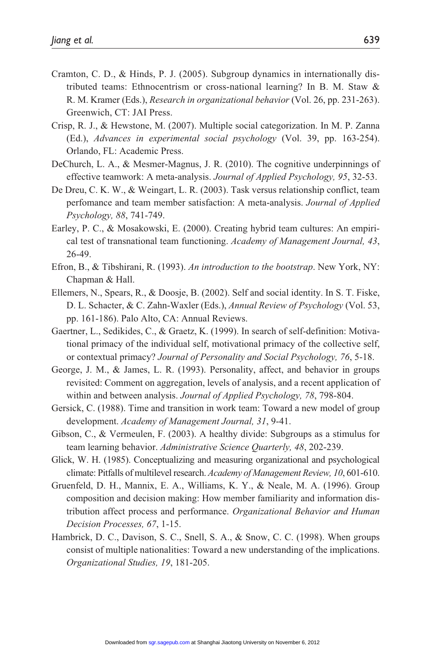- Cramton, C. D., & Hinds, P. J. (2005). Subgroup dynamics in internationally distributed teams: Ethnocentrism or cross-national learning? In B. M. Staw & R. M. Kramer (Eds.), *Research in organizational behavior* (Vol. 26, pp. 231-263). Greenwich, CT: JAI Press.
- Crisp, R. J., & Hewstone, M. (2007). Multiple social categorization. In M. P. Zanna (Ed.), *Advances in experimental social psychology* (Vol. 39, pp. 163-254). Orlando, FL: Academic Press.
- DeChurch, L. A., & Mesmer-Magnus, J. R. (2010). The cognitive underpinnings of effective teamwork: A meta-analysis. *Journal of Applied Psychology, 95*, 32-53.
- De Dreu, C. K. W., & Weingart, L. R. (2003). Task versus relationship conflict, team perfomance and team member satisfaction: A meta-analysis. *Journal of Applied Psychology, 88*, 741-749.
- Earley, P. C., & Mosakowski, E. (2000). Creating hybrid team cultures: An empirical test of transnational team functioning. *Academy of Management Journal, 43*, 26-49.
- Efron, B., & Tibshirani, R. (1993). *An introduction to the bootstrap*. New York, NY: Chapman & Hall.
- Ellemers, N., Spears, R., & Doosje, B. (2002). Self and social identity. In S. T. Fiske, D. L. Schacter, & C. Zahn-Waxler (Eds.), *Annual Review of Psychology* (Vol. 53, pp. 161-186). Palo Alto, CA: Annual Reviews.
- Gaertner, L., Sedikides, C., & Graetz, K. (1999). In search of self-definition: Motivational primacy of the individual self, motivational primacy of the collective self, or contextual primacy? *Journal of Personality and Social Psychology, 76*, 5-18.
- George, J. M., & James, L. R. (1993). Personality, affect, and behavior in groups revisited: Comment on aggregation, levels of analysis, and a recent application of within and between analysis. *Journal of Applied Psychology, 78*, 798-804.
- Gersick, C. (1988). Time and transition in work team: Toward a new model of group development. *Academy of Management Journal, 31*, 9-41.
- Gibson, C., & Vermeulen, F. (2003). A healthy divide: Subgroups as a stimulus for team learning behavior. *Administrative Science Quarterly, 48*, 202-239.
- Glick, W. H. (1985). Conceptualizing and measuring organizational and psychological climate: Pitfalls of multilevel research. *Academy of Management Review, 10*, 601-610.
- Gruenfeld, D. H., Mannix, E. A., Williams, K. Y., & Neale, M. A. (1996). Group composition and decision making: How member familiarity and information distribution affect process and performance. *Organizational Behavior and Human Decision Processes, 67*, 1-15.
- Hambrick, D. C., Davison, S. C., Snell, S. A., & Snow, C. C. (1998). When groups consist of multiple nationalities: Toward a new understanding of the implications. *Organizational Studies, 19*, 181-205.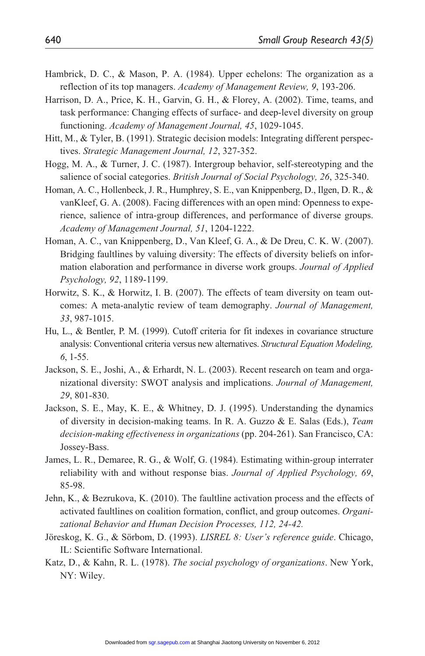- Hambrick, D. C., & Mason, P. A. (1984). Upper echelons: The organization as a reflection of its top managers. *Academy of Management Review, 9*, 193-206.
- Harrison, D. A., Price, K. H., Garvin, G. H., & Florey, A. (2002). Time, teams, and task performance: Changing effects of surface- and deep-level diversity on group functioning. *Academy of Management Journal, 45*, 1029-1045.
- Hitt, M., & Tyler, B. (1991). Strategic decision models: Integrating different perspectives. *Strategic Management Journal, 12*, 327-352.
- Hogg, M. A., & Turner, J. C. (1987). Intergroup behavior, self-stereotyping and the salience of social categories. *British Journal of Social Psychology, 26*, 325-340.
- Homan, A. C., Hollenbeck, J. R., Humphrey, S. E., van Knippenberg, D., Ilgen, D. R., & vanKleef, G. A. (2008). Facing differences with an open mind: Openness to experience, salience of intra-group differences, and performance of diverse groups. *Academy of Management Journal, 51*, 1204-1222.
- Homan, A. C., van Knippenberg, D., Van Kleef, G. A., & De Dreu, C. K. W. (2007). Bridging faultlines by valuing diversity: The effects of diversity beliefs on information elaboration and performance in diverse work groups. *Journal of Applied Psychology, 92*, 1189-1199.
- Horwitz, S. K., & Horwitz, I. B. (2007). The effects of team diversity on team outcomes: A meta-analytic review of team demography. *Journal of Management, 33*, 987-1015.
- Hu, L., & Bentler, P. M. (1999). Cutoff criteria for fit indexes in covariance structure analysis: Conventional criteria versus new alternatives. *Structural Equation Modeling, 6*, 1-55.
- Jackson, S. E., Joshi, A., & Erhardt, N. L. (2003). Recent research on team and organizational diversity: SWOT analysis and implications. *Journal of Management, 29*, 801-830.
- Jackson, S. E., May, K. E., & Whitney, D. J. (1995). Understanding the dynamics of diversity in decision-making teams. In R. A. Guzzo & E. Salas (Eds.), *Team decision-making effectiveness in organizations* (pp. 204-261). San Francisco, CA: Jossey-Bass.
- James, L. R., Demaree, R. G., & Wolf, G. (1984). Estimating within-group interrater reliability with and without response bias. *Journal of Applied Psychology, 69*, 85-98.
- Jehn, K., & Bezrukova, K. (2010). The faultline activation process and the effects of activated faultlines on coalition formation, conflict, and group outcomes. *Organizational Behavior and Human Decision Processes, 112, 24-42.*
- Jöreskog, K. G., & Sörbom, D. (1993). *LISREL 8: User's reference guide*. Chicago, IL: Scientific Software International.
- Katz, D., & Kahn, R. L. (1978). *The social psychology of organizations*. New York, NY: Wiley.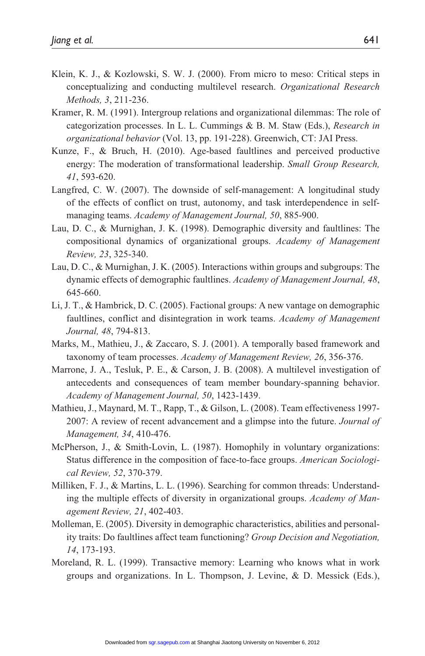- Klein, K. J., & Kozlowski, S. W. J. (2000). From micro to meso: Critical steps in conceptualizing and conducting multilevel research. *Organizational Research Methods, 3*, 211-236.
- Kramer, R. M. (1991). Intergroup relations and organizational dilemmas: The role of categorization processes. In L. L. Cummings & B. M. Staw (Eds.), *Research in organizational behavior* (Vol. 13, pp. 191-228). Greenwich, CT: JAI Press.
- Kunze, F., & Bruch, H. (2010). Age-based faultlines and perceived productive energy: The moderation of transformational leadership. *Small Group Research, 41*, 593-620.
- Langfred, C. W. (2007). The downside of self-management: A longitudinal study of the effects of conflict on trust, autonomy, and task interdependence in selfmanaging teams. *Academy of Management Journal, 50*, 885-900.
- Lau, D. C., & Murnighan, J. K. (1998). Demographic diversity and faultlines: The compositional dynamics of organizational groups. *Academy of Management Review, 23*, 325-340.
- Lau, D. C., & Murnighan, J. K. (2005). Interactions within groups and subgroups: The dynamic effects of demographic faultlines. *Academy of Management Journal, 48*, 645-660.
- Li, J. T., & Hambrick, D. C. (2005). Factional groups: A new vantage on demographic faultlines, conflict and disintegration in work teams. *Academy of Management Journal, 48*, 794-813.
- Marks, M., Mathieu, J., & Zaccaro, S. J. (2001). A temporally based framework and taxonomy of team processes. *Academy of Management Review, 26*, 356-376.
- Marrone, J. A., Tesluk, P. E., & Carson, J. B. (2008). A multilevel investigation of antecedents and consequences of team member boundary-spanning behavior. *Academy of Management Journal, 50*, 1423-1439.
- Mathieu, J., Maynard, M. T., Rapp, T., & Gilson, L. (2008). Team effectiveness 1997- 2007: A review of recent advancement and a glimpse into the future. *Journal of Management, 34*, 410-476.
- McPherson, J., & Smith-Lovin, L. (1987). Homophily in voluntary organizations: Status difference in the composition of face-to-face groups. *American Sociological Review, 52*, 370-379.
- Milliken, F. J., & Martins, L. L. (1996). Searching for common threads: Understanding the multiple effects of diversity in organizational groups. *Academy of Management Review, 21*, 402-403.
- Molleman, E. (2005). Diversity in demographic characteristics, abilities and personality traits: Do faultlines affect team functioning? *Group Decision and Negotiation, 14*, 173-193.
- Moreland, R. L. (1999). Transactive memory: Learning who knows what in work groups and organizations. In L. Thompson, J. Levine, & D. Messick (Eds.),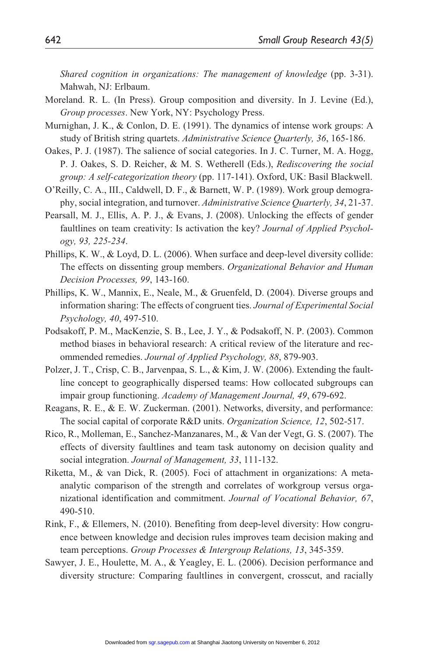*Shared cognition in organizations: The management of knowledge* (pp. 3-31). Mahwah, NJ: Erlbaum.

- Moreland. R. L. (In Press). Group composition and diversity. In J. Levine (Ed.), *Group processes*. New York, NY: Psychology Press.
- Murnighan, J. K., & Conlon, D. E. (1991). The dynamics of intense work groups: A study of British string quartets. *Administrative Science Quarterly, 36*, 165-186.
- Oakes, P. J. (1987). The salience of social categories. In J. C. Turner, M. A. Hogg, P. J. Oakes, S. D. Reicher, & M. S. Wetherell (Eds.), *Rediscovering the social group: A self-categorization theory* (pp. 117-141). Oxford, UK: Basil Blackwell.
- O'Reilly, C. A., III., Caldwell, D. F., & Barnett, W. P. (1989). Work group demography, social integration, and turnover. *Administrative Science Quarterly, 34*, 21-37.
- Pearsall, M. J., Ellis, A. P. J., & Evans, J. (2008). Unlocking the effects of gender faultlines on team creativity: Is activation the key? *Journal of Applied Psychology, 93, 225-234*.
- Phillips, K. W., & Loyd, D. L. (2006). When surface and deep-level diversity collide: The effects on dissenting group members. *Organizational Behavior and Human Decision Processes, 99*, 143-160.
- Phillips, K. W., Mannix, E., Neale, M., & Gruenfeld, D. (2004). Diverse groups and information sharing: The effects of congruent ties. *Journal of Experimental Social Psychology, 40*, 497-510.
- Podsakoff, P. M., MacKenzie, S. B., Lee, J. Y., & Podsakoff, N. P. (2003). Common method biases in behavioral research: A critical review of the literature and recommended remedies. *Journal of Applied Psychology, 88*, 879-903.
- Polzer, J. T., Crisp, C. B., Jarvenpaa, S. L., & Kim, J. W. (2006). Extending the faultline concept to geographically dispersed teams: How collocated subgroups can impair group functioning. *Academy of Management Journal, 49*, 679-692.
- Reagans, R. E., & E. W. Zuckerman. (2001). Networks, diversity, and performance: The social capital of corporate R&D units. *Organization Science, 12*, 502-517.
- Rico, R., Molleman, E., Sanchez-Manzanares, M., & Van der Vegt, G. S. (2007). The effects of diversity faultlines and team task autonomy on decision quality and social integration. *Journal of Management, 33*, 111-132.
- Riketta, M., & van Dick, R. (2005). Foci of attachment in organizations: A metaanalytic comparison of the strength and correlates of workgroup versus organizational identification and commitment. *Journal of Vocational Behavior, 67*, 490-510.
- Rink, F., & Ellemers, N. (2010). Benefiting from deep-level diversity: How congruence between knowledge and decision rules improves team decision making and team perceptions. *Group Processes & Intergroup Relations, 13*, 345-359.
- Sawyer, J. E., Houlette, M. A., & Yeagley, E. L. (2006). Decision performance and diversity structure: Comparing faultlines in convergent, crosscut, and racially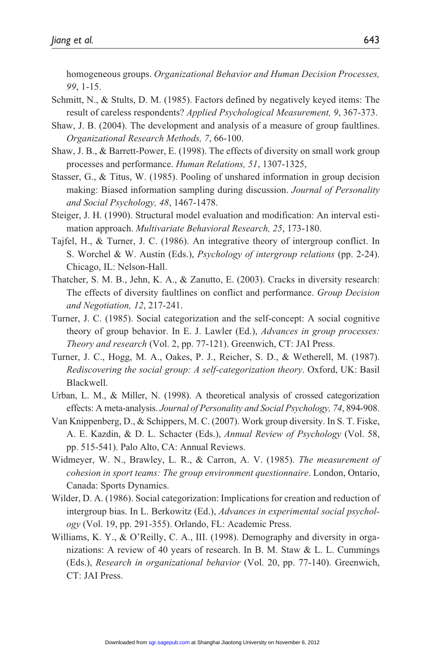homogeneous groups. *Organizational Behavior and Human Decision Processes, 99*, 1-15.

- Schmitt, N., & Stults, D. M. (1985). Factors defined by negatively keyed items: The result of careless respondents? *Applied Psychological Measurement, 9*, 367-373.
- Shaw, J. B. (2004). The development and analysis of a measure of group faultlines. *Organizational Research Methods, 7*, 66-100.
- Shaw, J. B., & Barrett-Power, E. (1998). The effects of diversity on small work group processes and performance. *Human Relations, 51*, 1307-1325,
- Stasser, G., & Titus, W. (1985). Pooling of unshared information in group decision making: Biased information sampling during discussion. *Journal of Personality and Social Psychology, 48*, 1467-1478.
- Steiger, J. H. (1990). Structural model evaluation and modification: An interval estimation approach. *Multivariate Behavioral Research, 25*, 173-180.
- Tajfel, H., & Turner, J. C. (1986). An integrative theory of intergroup conflict. In S. Worchel & W. Austin (Eds.), *Psychology of intergroup relations* (pp. 2-24). Chicago, IL: Nelson-Hall.
- Thatcher, S. M. B., Jehn, K. A., & Zanutto, E. (2003). Cracks in diversity research: The effects of diversity faultlines on conflict and performance. *Group Decision and Negotiation, 12*, 217-241.
- Turner, J. C. (1985). Social categorization and the self-concept: A social cognitive theory of group behavior. In E. J. Lawler (Ed.), *Advances in group processes: Theory and research* (Vol. 2, pp. 77-121). Greenwich, CT: JAI Press.
- Turner, J. C., Hogg, M. A., Oakes, P. J., Reicher, S. D., & Wetherell, M. (1987). *Rediscovering the social group: A self-categorization theory*. Oxford, UK: Basil Blackwell.
- Urban, L. M., & Miller, N. (1998). A theoretical analysis of crossed categorization effects: A meta-analysis. *Journal of Personality and Social Psychology, 74*, 894-908.
- Van Knippenberg, D., & Schippers, M. C. (2007). Work group diversity. In S. T. Fiske, A. E. Kazdin, & D. L. Schacter (Eds.), *Annual Review of Psychology* (Vol. 58, pp. 515-541). Palo Alto, CA: Annual Reviews.
- Widmeyer, W. N., Brawley, L. R., & Carron, A. V. (1985). *The measurement of cohesion in sport teams: The group environment questionnaire*. London, Ontario, Canada: Sports Dynamics.
- Wilder, D. A. (1986). Social categorization: Implications for creation and reduction of intergroup bias. In L. Berkowitz (Ed.), *Advances in experimental social psychology* (Vol. 19, pp. 291-355). Orlando, FL: Academic Press.
- Williams, K. Y., & O'Reilly, C. A., III. (1998). Demography and diversity in organizations: A review of 40 years of research. In B. M. Staw & L. L. Cummings (Eds.), *Research in organizational behavior* (Vol. 20, pp. 77-140). Greenwich, CT: JAI Press.